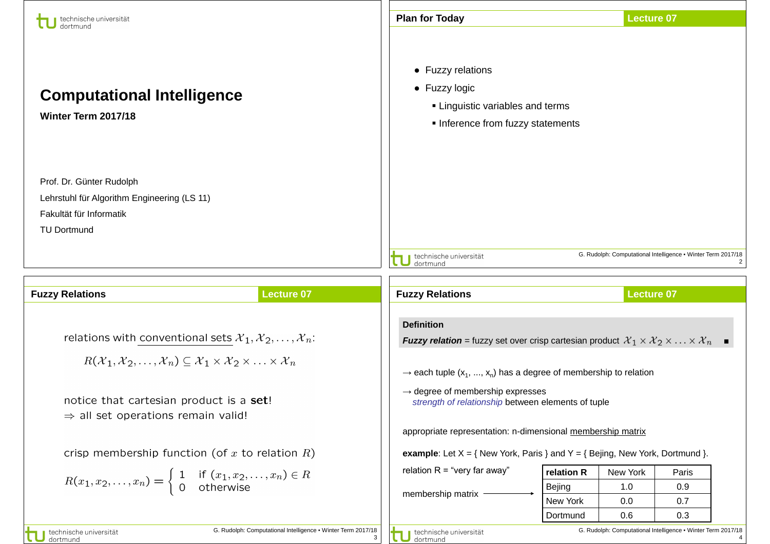| technische universität                                                                                                                                                                                                               |                                                              | <b>Plan for Today</b>                                                                                                                                                                                                                                                                                               |                      | <b>Lecture 07</b> |                                                              |  |
|--------------------------------------------------------------------------------------------------------------------------------------------------------------------------------------------------------------------------------------|--------------------------------------------------------------|---------------------------------------------------------------------------------------------------------------------------------------------------------------------------------------------------------------------------------------------------------------------------------------------------------------------|----------------------|-------------------|--------------------------------------------------------------|--|
| <b>Computational Intelligence</b><br>Winter Term 2017/18                                                                                                                                                                             |                                                              | • Fuzzy relations<br>• Fuzzy logic<br>• Linguistic variables and terms<br>Inference from fuzzy statements                                                                                                                                                                                                           |                      |                   |                                                              |  |
| Prof. Dr. Günter Rudolph                                                                                                                                                                                                             |                                                              |                                                                                                                                                                                                                                                                                                                     |                      |                   |                                                              |  |
| Lehrstuhl für Algorithm Engineering (LS 11)                                                                                                                                                                                          |                                                              |                                                                                                                                                                                                                                                                                                                     |                      |                   |                                                              |  |
| Fakultät für Informatik                                                                                                                                                                                                              |                                                              |                                                                                                                                                                                                                                                                                                                     |                      |                   |                                                              |  |
| <b>TU Dortmund</b>                                                                                                                                                                                                                   |                                                              |                                                                                                                                                                                                                                                                                                                     |                      |                   |                                                              |  |
|                                                                                                                                                                                                                                      |                                                              | technische universität<br>dortmund                                                                                                                                                                                                                                                                                  |                      |                   | G. Rudolph: Computational Intelligence . Winter Term 2017/18 |  |
|                                                                                                                                                                                                                                      |                                                              |                                                                                                                                                                                                                                                                                                                     |                      |                   |                                                              |  |
| <b>Fuzzy Relations</b>                                                                                                                                                                                                               | <b>Lecture 07</b>                                            | <b>Fuzzy Relations</b>                                                                                                                                                                                                                                                                                              |                      | <b>Lecture 07</b> |                                                              |  |
| relations with conventional sets $\mathcal{X}_1, \mathcal{X}_2, \ldots, \mathcal{X}_n$ :<br>$R(\mathcal{X}_1, \mathcal{X}_2, \ldots, \mathcal{X}_n) \subseteq \mathcal{X}_1 \times \mathcal{X}_2 \times \ldots \times \mathcal{X}_n$ |                                                              | <b>Definition</b><br><b>Fuzzy relation</b> = fuzzy set over crisp cartesian product $\mathcal{X}_1 \times \mathcal{X}_2 \times \ldots \times \mathcal{X}_n$<br>$\rightarrow$ each tuple (x <sub>1</sub> , , x <sub>n</sub> ) has a degree of membership to relation<br>$\rightarrow$ degree of membership expresses |                      |                   |                                                              |  |
| notice that cartesian product is a set!<br>$\Rightarrow$ all set operations remain valid!                                                                                                                                            |                                                              | strength of relationship between elements of tuple                                                                                                                                                                                                                                                                  |                      |                   |                                                              |  |
|                                                                                                                                                                                                                                      |                                                              | appropriate representation: n-dimensional membership matrix                                                                                                                                                                                                                                                         |                      |                   |                                                              |  |
| crisp membership function (of x to relation $R$ )                                                                                                                                                                                    |                                                              | <b>example:</b> Let $X = \{$ New York, Paris } and $Y = \{$ Bejing, New York, Dortmund }.                                                                                                                                                                                                                           |                      |                   |                                                              |  |
|                                                                                                                                                                                                                                      |                                                              | relation $R = "very far away"$                                                                                                                                                                                                                                                                                      | relation R           | New York          | Paris                                                        |  |
| $R(x_1, x_2, \ldots, x_n) = \begin{cases} 1 & \text{if } (x_1, x_2, \ldots, x_n) \in R \\ 0 & \text{otherwise} \end{cases}$                                                                                                          |                                                              | membership matrix                                                                                                                                                                                                                                                                                                   | <b>Bejing</b>        | 1.0               | 0.9                                                          |  |
|                                                                                                                                                                                                                                      |                                                              |                                                                                                                                                                                                                                                                                                                     | New York<br>Dortmund | 0.0<br>0.6        | 0.7<br>0.3                                                   |  |
| technische universität                                                                                                                                                                                                               | G. Rudolph: Computational Intelligence . Winter Term 2017/18 |                                                                                                                                                                                                                                                                                                                     |                      |                   | G. Rudolph: Computational Intelligence . Winter Term 2017/18 |  |
| dortmund                                                                                                                                                                                                                             | 3                                                            | technische universität<br>dortmund                                                                                                                                                                                                                                                                                  |                      |                   |                                                              |  |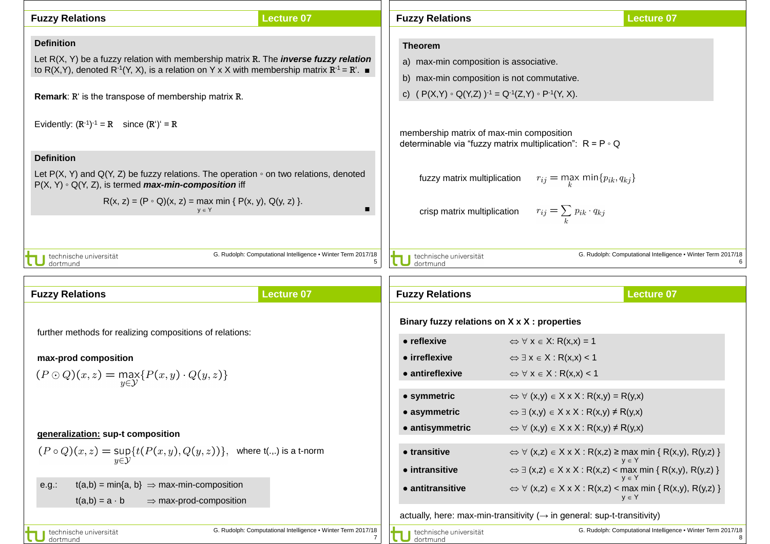| <b>Fuzzy Relations</b>                                                                                                                                                                                                       | <b>Lecture 07</b>                                                 | <b>Fuzzy Relations</b>                                            |                                                                                                | <b>Lecture 07</b>                                            |  |
|------------------------------------------------------------------------------------------------------------------------------------------------------------------------------------------------------------------------------|-------------------------------------------------------------------|-------------------------------------------------------------------|------------------------------------------------------------------------------------------------|--------------------------------------------------------------|--|
| <b>Definition</b>                                                                                                                                                                                                            |                                                                   | <b>Theorem</b>                                                    |                                                                                                |                                                              |  |
| Let $R(X, Y)$ be a fuzzy relation with membership matrix R. The <i>inverse fuzzy relation</i><br>to R(X,Y), denoted R <sup>-1</sup> (Y, X), is a relation on Y x X with membership matrix R <sup>-1</sup> = R <sup>'</sup> . |                                                                   | a) max-min composition is associative.                            |                                                                                                |                                                              |  |
|                                                                                                                                                                                                                              |                                                                   | b) max-min composition is not commutative.                        |                                                                                                |                                                              |  |
| <b>Remark:</b> R' is the transpose of membership matrix R.                                                                                                                                                                   |                                                                   | c) $(P(X,Y) \circ Q(Y,Z))^{-1} = Q^{-1}(Z,Y) \circ P^{-1}(Y,X)$ . |                                                                                                |                                                              |  |
| Evidently: $(R^{-1})^{-1} = R$ since $(R')' = R$                                                                                                                                                                             |                                                                   | membership matrix of max-min composition                          | determinable via "fuzzy matrix multiplication": $R = P \circ Q$                                |                                                              |  |
| <b>Definition</b>                                                                                                                                                                                                            |                                                                   |                                                                   |                                                                                                |                                                              |  |
| Let $P(X, Y)$ and Q(Y, Z) be fuzzy relations. The operation $\circ$ on two relations, denoted<br>$P(X, Y) \circ Q(Y, Z)$ , is termed <b>max-min-composition</b> iff                                                          |                                                                   |                                                                   | fuzzy matrix multiplication $r_{ij} = \max_k \min\{p_{ik}, q_{kj}\}$                           |                                                              |  |
| $R(x, z) = (P \circ Q)(x, z) = \max_{y \in Y} \min \{ P(x, y), Q(y, z) \}.$                                                                                                                                                  | $\blacksquare$                                                    |                                                                   | crisp matrix multiplication $r_{ij} = \sum_{k} p_{ik} \cdot q_{kj}$                            |                                                              |  |
| technische universität                                                                                                                                                                                                       | G. Rudolph: Computational Intelligence . Winter Term 2017/18<br>5 | J technische universität<br>J dortmund                            |                                                                                                | G. Rudolph: Computational Intelligence • Winter Term 2017/18 |  |
| <b>Fuzzy Relations</b>                                                                                                                                                                                                       | <b>Lecture 07</b>                                                 | <b>Fuzzy Relations</b>                                            |                                                                                                | <b>Lecture 07</b>                                            |  |
|                                                                                                                                                                                                                              |                                                                   | Binary fuzzy relations on X x X : properties                      |                                                                                                |                                                              |  |
| further methods for realizing compositions of relations:                                                                                                                                                                     |                                                                   | • reflexive                                                       | $\Leftrightarrow$ $\forall$ x $\in$ X: R(x,x) = 1                                              |                                                              |  |
| max-prod composition                                                                                                                                                                                                         |                                                                   | • irreflexive                                                     | $\Leftrightarrow$ $\exists x \in X : R(x,x) < 1$                                               |                                                              |  |
| $(P \odot Q)(x, z) = \max_{y \in Y} \{P(x, y) \cdot Q(y, z)\}$                                                                                                                                                               |                                                                   | • antireflexive                                                   | $\Leftrightarrow$ $\forall$ x $\in$ X : R(x,x) < 1                                             |                                                              |  |
|                                                                                                                                                                                                                              |                                                                   |                                                                   |                                                                                                |                                                              |  |
|                                                                                                                                                                                                                              |                                                                   | • symmetric                                                       | $\Leftrightarrow$ $\forall$ (x,y) $\in$ X x X : R(x,y) = R(y,x)                                |                                                              |  |
|                                                                                                                                                                                                                              |                                                                   | • asymmetric                                                      | $\Leftrightarrow \exists (x,y) \in X \times X : R(x,y) \neq R(y,x)$                            |                                                              |  |
|                                                                                                                                                                                                                              |                                                                   | • antisymmetric                                                   | $\Leftrightarrow$ $\forall$ (x,y) $\in$ X x X : R(x,y) $\neq$ R(y,x)                           |                                                              |  |
| generalization: sup-t composition<br>$(P \circ Q)(x, z) = \sup\{t(P(x, y), Q(y, z))\},\;$ where t() is a t-norm                                                                                                              |                                                                   | • transitive                                                      | $\Leftrightarrow$ $\forall$ (x,z) $\in$ X x X : R(x,z) $\geq$ max min { R(x,y), R(y,z) }       |                                                              |  |
|                                                                                                                                                                                                                              |                                                                   | • intransitive                                                    | $\Leftrightarrow \exists (x,z) \in X \times X : R(x,z) < \text{max min } \{ R(x,y), R(y,z) \}$ |                                                              |  |
| $t(a,b) = min\{a, b\} \Rightarrow max-min-composition$<br>e.g.:<br>$\Rightarrow$ max-prod-composition<br>$t(a,b) = a \cdot b$                                                                                                |                                                                   | • antitransitive                                                  | $\Leftrightarrow$ $\forall$ (x,z) $\in$ X x X : R(x,z) < max min { R(x,y), R(y,z) }            | $y \in Y$                                                    |  |
|                                                                                                                                                                                                                              |                                                                   |                                                                   | actually, here: max-min-transitivity $(\rightarrow$ in general: sup-t-transitivity)            |                                                              |  |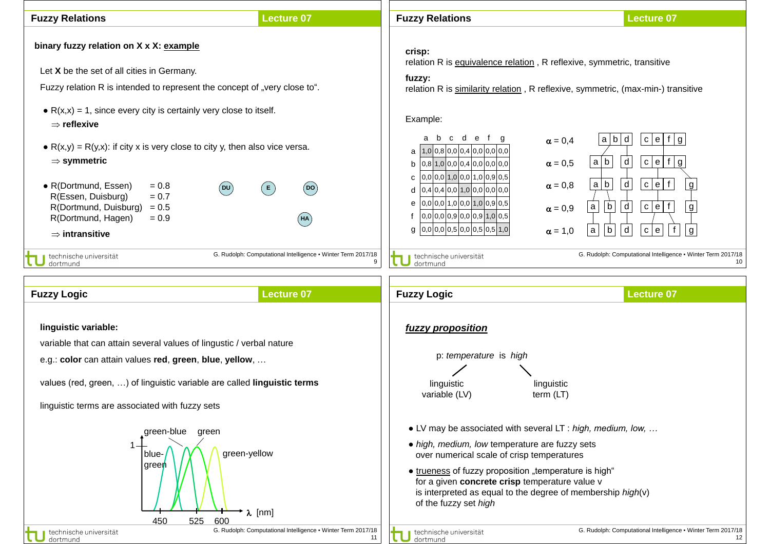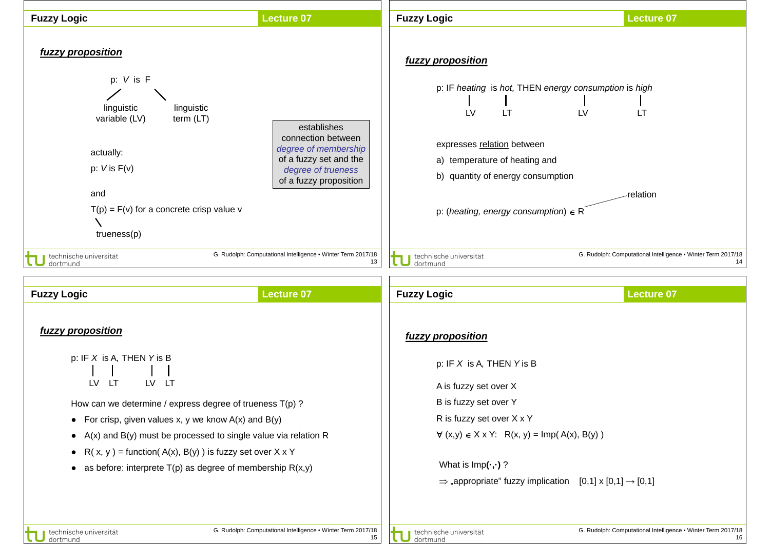

dortmund

dortmund

16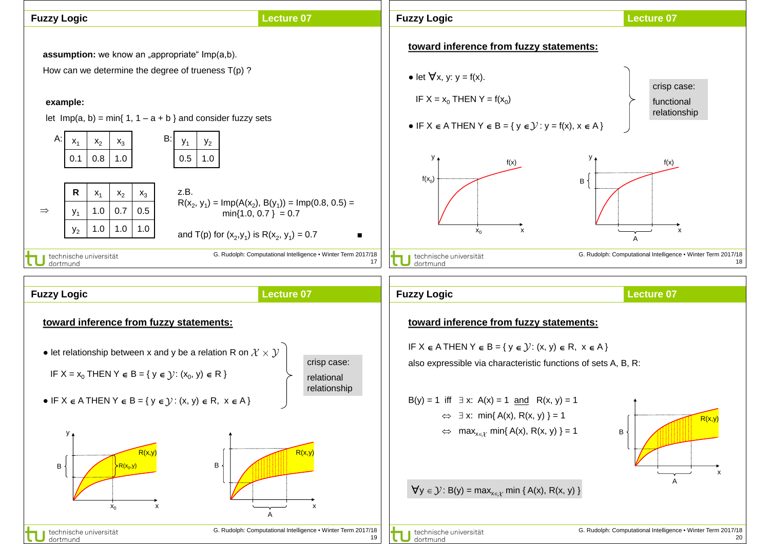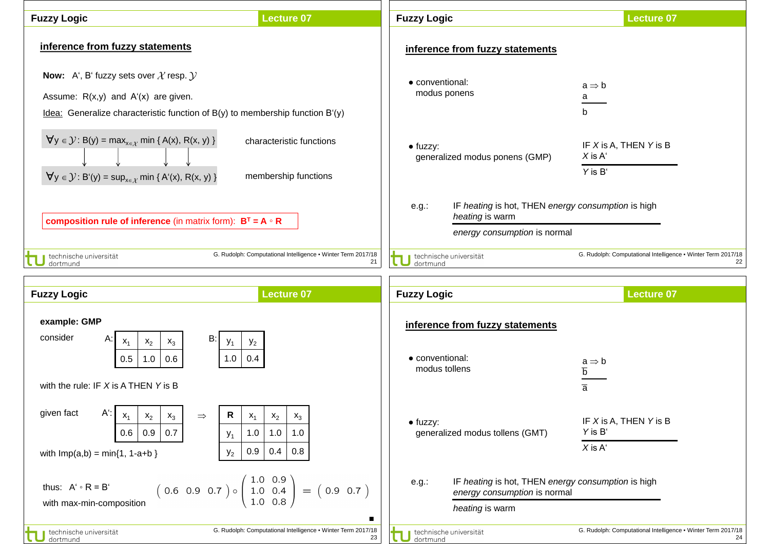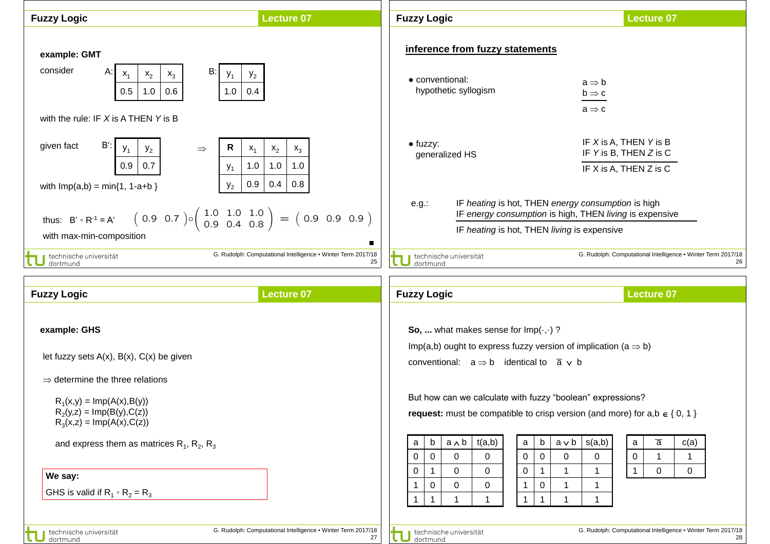| <b>Fuzzy Logic</b>                                                                                                                                                                                                                                                                                                              | <b>Lecture 07</b>                                                  | <b>Fuzzy Logic</b>                                                                                                                                                                                                                                                                                                                                                                                                                                                                                                                                                                                                            | <b>Lecture 07</b>                                                                                                                                                                     |
|---------------------------------------------------------------------------------------------------------------------------------------------------------------------------------------------------------------------------------------------------------------------------------------------------------------------------------|--------------------------------------------------------------------|-------------------------------------------------------------------------------------------------------------------------------------------------------------------------------------------------------------------------------------------------------------------------------------------------------------------------------------------------------------------------------------------------------------------------------------------------------------------------------------------------------------------------------------------------------------------------------------------------------------------------------|---------------------------------------------------------------------------------------------------------------------------------------------------------------------------------------|
| example: GMT<br>consider<br>B:<br>Α.<br>$x_1$<br>$x_2$<br>$\mathsf{x}_3$<br>$y_1$<br>$y_2$<br>0.5<br>1.0<br>0.6<br>1.0<br>0.4<br>with the rule: IF $X$ is A THEN $Y$ is B                                                                                                                                                       |                                                                    | inference from fuzzy statements<br>• conventional:<br>hypothetic syllogism                                                                                                                                                                                                                                                                                                                                                                                                                                                                                                                                                    | $a \Rightarrow b$<br>$b \Rightarrow c$<br>$a \Rightarrow c$                                                                                                                           |
| Bʻ:<br>given fact<br>R<br>$\Rightarrow$<br>$x_1$<br>$y_1$<br>$y_2$<br>0.9<br>0.7<br>1.0<br>$y_1$<br>0.9<br>$y_2$<br>with $Imp(a,b) = min\{1, 1-a+b\}$<br>$(0.9 \t0.7) \circ (\begin{array}{cc} 1.0 & 1.0 & 1.0 \\ 0.9 & 0.4 & 0.8 \end{array}) = (0.9 \t0.9 \t0.9)$<br>thus: $B' \circ R^{-1} = A'$<br>with max-min-composition | $x_2$<br>$\mathsf{x}_3$<br>1.0<br>1.0<br>0.4<br>0.8<br>п           | $\bullet$ fuzzy:<br>generalized HS<br>IF heating is hot, THEN energy consumption is high<br>$e.g.$ :<br>IF heating is hot, THEN living is expensive                                                                                                                                                                                                                                                                                                                                                                                                                                                                           | IF X is A, THEN Y is B<br>IF Y is B, THEN Z is C<br>IF X is A, THEN Z is C<br>IF energy consumption is high, THEN living is expensive                                                 |
| technische universität<br>dortmund                                                                                                                                                                                                                                                                                              | G. Rudolph: Computational Intelligence . Winter Term 2017/18<br>25 | technische universität<br>dortmund                                                                                                                                                                                                                                                                                                                                                                                                                                                                                                                                                                                            | G. Rudolph: Computational Intelligence . Winter Term 2017/18<br>26                                                                                                                    |
| <b>Fuzzy Logic</b>                                                                                                                                                                                                                                                                                                              | <b>Lecture 07</b>                                                  | <b>Fuzzy Logic</b>                                                                                                                                                                                                                                                                                                                                                                                                                                                                                                                                                                                                            | <b>Lecture 07</b>                                                                                                                                                                     |
| example: GHS<br>let fuzzy sets $A(x)$ , $B(x)$ , $C(x)$ be given<br>$\Rightarrow$ determine the three relations<br>$R_1(x,y) = Imp(A(x),B(y))$<br>$R_2(y,z) = Imp(B(y),C(z))$<br>$R_3(x, z) = Imp(A(x), C(z))$<br>and express them as matrices $R_1$ , $R_2$ , $R_3$<br>We say:<br>GHS is valid if $R_1 \circ R_2 = R_3$        |                                                                    | So,  what makes sense for $Imp(·,·)$ ?<br>Imp(a,b) ought to express fuzzy version of implication (a $\Rightarrow$ b)<br>conventional: $a \Rightarrow b$ identical to $\overline{a}$ v b<br>But how can we calculate with fuzzy "boolean" expressions?<br><b>request:</b> must be compatible to crisp version (and more) for $a,b \in \{0, 1\}$<br>t(a,b)<br>$a \wedge b$<br>b<br>$\mathbf a$<br>b<br>a<br>$\mathbf 0$<br>$\overline{0}$<br>$\mathbf 0$<br>$\Omega$<br>0<br>0<br>$\mathbf 0$<br>$\Omega$<br>0<br>0<br>1<br>0<br>$\mathbf 0$<br>0<br>$\mathbf 1$<br>1<br>0<br>$\mathbf{1}$<br>$\mathbf{1}$<br>$\mathbf{1}$<br>1 | $\overline{a}$<br>s(a,b)<br>c(a)<br>$a \vee b$<br>a<br>$\mathbf 0$<br>$\mathbf 0$<br>$\mathbf{0}$<br>$\mathbf{1}$<br>$\Omega$<br>$\mathbf{0}$<br>1<br>$\mathbf 1$<br>1<br>$\mathbf 1$ |
| technische universität<br>dortmund                                                                                                                                                                                                                                                                                              | G. Rudolph: Computational Intelligence . Winter Term 2017/18<br>27 | technische universität<br>dortmund                                                                                                                                                                                                                                                                                                                                                                                                                                                                                                                                                                                            | G. Rudolph: Computational Intelligence • Winter Term 2017/18<br>28                                                                                                                    |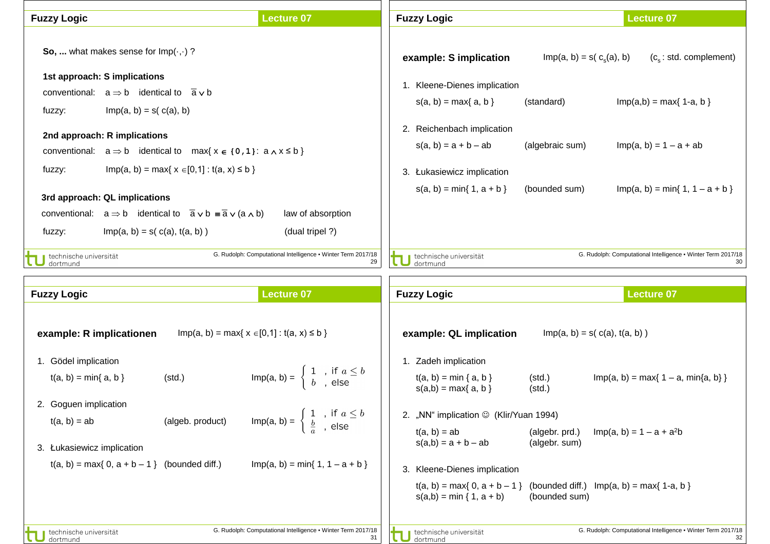| <b>Fuzzy Logic</b>                                                                                                       | <b>Lecture 07</b>                                                                              | <b>Fuzzy Logic</b>                                               |                                 | <b>Lecture 07</b>                                                  |
|--------------------------------------------------------------------------------------------------------------------------|------------------------------------------------------------------------------------------------|------------------------------------------------------------------|---------------------------------|--------------------------------------------------------------------|
| So,  what makes sense for $Imp(\cdot, \cdot)$ ?                                                                          |                                                                                                | example: S implication                                           | $Imp(a, b) = s(c_s(a), b)$      | $(c_s: std. complement)$                                           |
| 1st approach: S implications                                                                                             |                                                                                                | 1. Kleene-Dienes implication                                     |                                 |                                                                    |
| conventional: $a \Rightarrow b$ identical to $\overline{a} \vee b$                                                       |                                                                                                | $s(a, b) = max\{a, b\}$                                          | (standard)                      | $Imp(a,b) = max\{ 1-a, b \}$                                       |
| $Imp(a, b) = s(c(a), b)$<br>fuzzy:                                                                                       |                                                                                                |                                                                  |                                 |                                                                    |
| 2nd approach: R implications<br>conventional: $a \Rightarrow b$ identical to max{ $x \in \{0,1\}$ : $a \wedge x \le b$ } |                                                                                                | 2. Reichenbach implication<br>$s(a, b) = a + b - ab$             | (algebraic sum)                 | $Imp(a, b) = 1 - a + ab$                                           |
| $Imp(a, b) = max\{ x \in [0, 1] : t(a, x) \le b \}$<br>fuzzy:                                                            |                                                                                                | 3. Łukasiewicz implication                                       |                                 |                                                                    |
|                                                                                                                          |                                                                                                | $s(a, b) = min\{1, a + b\}$                                      | (bounded sum)                   | $Imp(a, b) = min{ 1, 1 - a + b }$                                  |
| 3rd approach: QL implications                                                                                            |                                                                                                |                                                                  |                                 |                                                                    |
| conventional: $a \Rightarrow b$ identical to $\overline{a} \vee b = \overline{a} \vee (a \wedge b)$                      | law of absorption                                                                              |                                                                  |                                 |                                                                    |
| $Imp(a, b) = s(c(a), t(a, b))$<br>fuzzy:                                                                                 | (dual tripel ?)                                                                                |                                                                  |                                 |                                                                    |
| technische universität<br>dortmund                                                                                       | G. Rudolph: Computational Intelligence . Winter Term 2017/18<br>29                             | technische universität<br>dortmund                               |                                 | G. Rudolph: Computational Intelligence . Winter Term 2017/18       |
| <b>Fuzzy Logic</b>                                                                                                       | <b>Lecture 07</b>                                                                              | <b>Fuzzy Logic</b>                                               |                                 | <b>Lecture 07</b>                                                  |
| example: R implicationen                                                                                                 | $Imp(a, b) = max\{ x \in [0, 1] : t(a, x) \le b \}$                                            | example: QL implication                                          | $Imp(a, b) = s(c(a), t(a, b))$  |                                                                    |
| 1. Gödel implication                                                                                                     |                                                                                                | Zadeh implication<br>1.                                          |                                 |                                                                    |
| (std.)<br>$t(a, b) = min\{a, b\}$                                                                                        | $\textsf{Imp}(a, b) = \begin{cases} 1, & \text{if } a \leq b \\ b, & \text{else} \end{cases}$  | $t(a, b) = min {a, b}$<br>$s(a,b) = max\{a, b\}$                 | (std.)<br>(std.)                | $Imp(a, b) = max\{ 1 - a, min\{a, b\} \}$                          |
| 2. Goguen implication                                                                                                    |                                                                                                |                                                                  |                                 |                                                                    |
| $t(a, b) = ab$<br>(algeb. product)                                                                                       | Imp(a, b) = $\begin{cases} 1, & \text{if } a \leq b \\ \frac{b}{a}, & \text{else} \end{cases}$ | 2. "NN" implication © (Klir/Yuan 1994)                           |                                 |                                                                    |
| 3. Łukasiewicz implication                                                                                               |                                                                                                | $t(a, b) = ab$<br>$s(a,b) = a + b - ab$                          | (algebr. prd.)<br>(algebr. sum) | $Imp(a, b) = 1 - a + a2b$                                          |
| $t(a, b) = max\{ 0, a + b - 1 \}$ (bounded diff.)                                                                        | $Imp(a, b) = min\{ 1, 1 - a + b \}$                                                            | 3. Kleene-Dienes implication                                     |                                 |                                                                    |
|                                                                                                                          |                                                                                                | $t(a, b) = max\{0, a + b - 1\}$<br>$s(a,b) = min \{ 1, a + b \}$ | (bounded sum)                   | (bounded diff.) $Imp(a, b) = max\{ 1-a, b \}$                      |
| technische universität<br>dortmund                                                                                       | G. Rudolph: Computational Intelligence . Winter Term 2017/18<br>31                             | technische universität<br>dortmund                               |                                 | G. Rudolph: Computational Intelligence . Winter Term 2017/18<br>32 |

٦